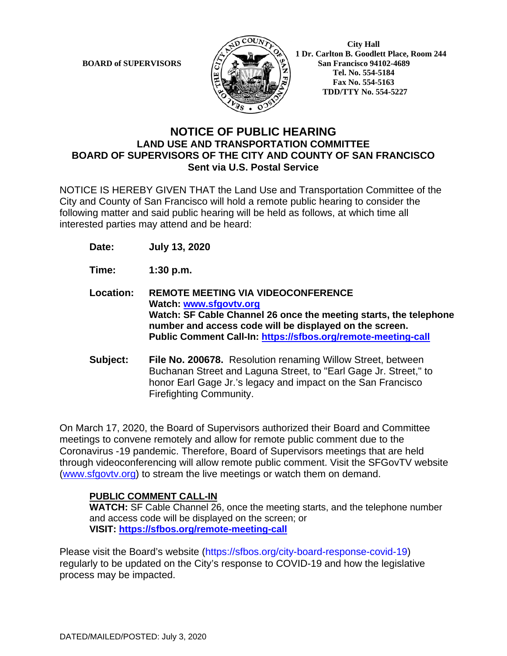

**BOARD of SUPERVISORS**  $\mathbb{R}$  **1** Dr. Carlton B. Goodlett Place, Room 244 **San Francisco 94102-4689 Tel. No. 554-5184 Fax No. 554-5163 TDD/TTY No. 554-5227**

## **NOTICE OF PUBLIC HEARING LAND USE AND TRANSPORTATION COMMITTEE BOARD OF SUPERVISORS OF THE CITY AND COUNTY OF SAN FRANCISCO Sent via U.S. Postal Service**

NOTICE IS HEREBY GIVEN THAT the Land Use and Transportation Committee of the City and County of San Francisco will hold a remote public hearing to consider the following matter and said public hearing will be held as follows, at which time all interested parties may attend and be heard:

- **Date: July 13, 2020**
- **Time: 1:30 p.m.**
- **Location: REMOTE MEETING VIA VIDEOCONFERENCE Watch: www.sfgovtv.org Watch: SF Cable Channel 26 once the meeting starts, the telephone number and access code will be displayed on the screen. Public Comment Call-In: https://sfbos.org/remote-meeting-call**
- **Subject: File No. 200678.** Resolution renaming Willow Street, between Buchanan Street and Laguna Street, to "Earl Gage Jr. Street," to honor Earl Gage Jr.'s legacy and impact on the San Francisco Firefighting Community.

On March 17, 2020, the Board of Supervisors authorized their Board and Committee meetings to convene remotely and allow for remote public comment due to the Coronavirus -19 pandemic. Therefore, Board of Supervisors meetings that are held through videoconferencing will allow remote public comment. Visit the SFGovTV website (www.sfgovtv.org) to stream the live meetings or watch them on demand.

## **PUBLIC COMMENT CALL-IN**

**WATCH:** SF Cable Channel 26, once the meeting starts, and the telephone number and access code will be displayed on the screen; or **VISIT: https://sfbos.org/remote-meeting-call**

Please visit the Board's website (https://sfbos.org/city-board-response-covid-19) regularly to be updated on the City's response to COVID-19 and how the legislative process may be impacted.